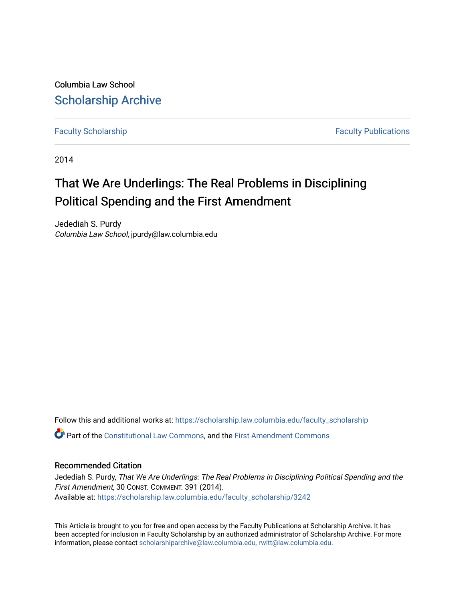Columbia Law School [Scholarship Archive](https://scholarship.law.columbia.edu/) 

[Faculty Scholarship](https://scholarship.law.columbia.edu/faculty_scholarship) **Faculty Scholarship Faculty Publications** 

2014

# That We Are Underlings: The Real Problems in Disciplining Political Spending and the First Amendment

Jedediah S. Purdy Columbia Law School, jpurdy@law.columbia.edu

Follow this and additional works at: [https://scholarship.law.columbia.edu/faculty\\_scholarship](https://scholarship.law.columbia.edu/faculty_scholarship?utm_source=scholarship.law.columbia.edu%2Ffaculty_scholarship%2F3242&utm_medium=PDF&utm_campaign=PDFCoverPages)

Part of the [Constitutional Law Commons,](http://network.bepress.com/hgg/discipline/589?utm_source=scholarship.law.columbia.edu%2Ffaculty_scholarship%2F3242&utm_medium=PDF&utm_campaign=PDFCoverPages) and the [First Amendment Commons](http://network.bepress.com/hgg/discipline/1115?utm_source=scholarship.law.columbia.edu%2Ffaculty_scholarship%2F3242&utm_medium=PDF&utm_campaign=PDFCoverPages)

### Recommended Citation

Jedediah S. Purdy, That We Are Underlings: The Real Problems in Disciplining Political Spending and the First Amendment, 30 CONST. COMMENT. 391 (2014). Available at: [https://scholarship.law.columbia.edu/faculty\\_scholarship/3242](https://scholarship.law.columbia.edu/faculty_scholarship/3242?utm_source=scholarship.law.columbia.edu%2Ffaculty_scholarship%2F3242&utm_medium=PDF&utm_campaign=PDFCoverPages)

This Article is brought to you for free and open access by the Faculty Publications at Scholarship Archive. It has been accepted for inclusion in Faculty Scholarship by an authorized administrator of Scholarship Archive. For more information, please contact [scholarshiparchive@law.columbia.edu, rwitt@law.columbia.edu](mailto:scholarshiparchive@law.columbia.edu,%20rwitt@law.columbia.edu).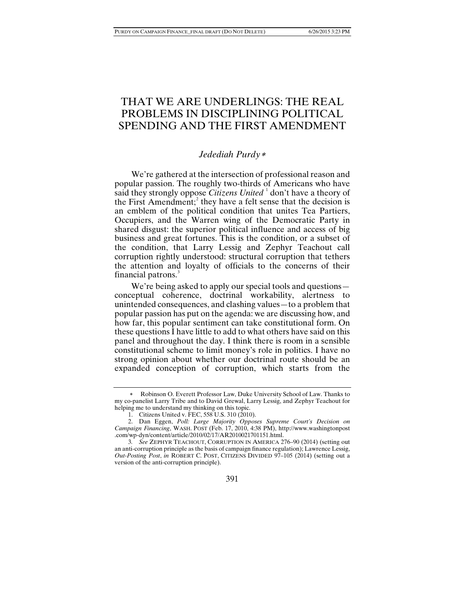# THAT WE ARE UNDERLINGS: THE REAL PROBLEMS IN DISCIPLINING POLITICAL SPENDING AND THE FIRST AMENDMENT

# *Jedediah Purdy*[∗](#page-1-0)

We're gathered at the intersection of professional reason and popular passion. The roughly two-thirds of Americans who have said they strongly oppose *Citizens United* <sup>[1](#page-1-1)</sup> don't have a theory of the First Amendment; [2](#page-1-2) they have a felt sense that the decision is an emblem of the political condition that unites Tea Partiers, Occupiers, and the Warren wing of the Democratic Party in shared disgust: the superior political influence and access of big business and great fortunes. This is the condition, or a subset of the condition, that Larry Lessig and Zephyr Teachout call corruption rightly understood: structural corruption that tethers the attention and loyalty of officials to the concerns of their financial patrons.<sup>[3](#page-1-3)</sup>

We're being asked to apply our special tools and questions conceptual coherence, doctrinal workability, alertness to unintended consequences, and clashing values—to a problem that popular passion has put on the agenda: we are discussing how, and how far, this popular sentiment can take constitutional form. On these questions I have little to add to what others have said on this panel and throughout the day. I think there is room in a sensible constitutional scheme to limit money's role in politics. I have no strong opinion about whether our doctrinal route should be an expanded conception of corruption, which starts from the

391

<span id="page-1-0"></span>Robinson O. Everett Professor Law, Duke University School of Law. Thanks to my co-panelist Larry Tribe and to David Grewal, Larry Lessig, and Zephyr Teachout for helping me to understand my thinking on this topic.

<sup>1.</sup> Citizens United v. FEC, 558 U.S. 310 (2010).

<span id="page-1-2"></span><span id="page-1-1"></span><sup>2.</sup> Dan Eggen, *Poll: Large Majority Opposes Supreme Court's Decision on Campaign Financing*, WASH. POST (Feb. 17, 2010, 4:38 PM), http://www.washingtonpost .com/wp-dyn/content/article/2010/02/17/AR2010021701151.html.

<span id="page-1-3"></span><sup>3</sup>*. See* ZEPHYR TEACHOUT, CORRUPTION IN AMERICA 276–90 (2014) (setting out an anti-corruption principle as the basis of campaign finance regulation); Lawrence Lessig, *Out-Posting Post*, *in* ROBERT C. POST, CITIZENS DIVIDED 97–105 (2014) (setting out a version of the anti-corruption principle).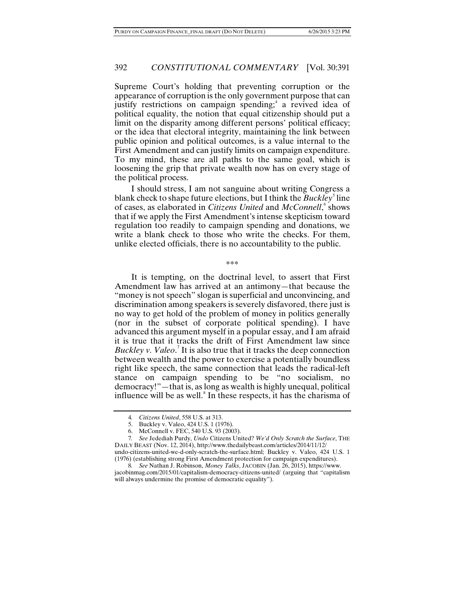Supreme Court's holding that preventing corruption or the appearance of corruption is the only government purpose that can justify restrictions on campaign spending;<sup>[4](#page-2-0)</sup> a revived idea of political equality, the notion that equal citizenship should put a limit on the disparity among different persons' political efficacy; or the idea that electoral integrity, maintaining the link between public opinion and political outcomes, is a value internal to the First Amendment and can justify limits on campaign expenditure. To my mind, these are all paths to the same goal, which is loosening the grip that private wealth now has on every stage of the political process.

I should stress, I am not sanguine about writing Congress a blank check to shape future elections, but I think the *Buckley*<sup>[5](#page-2-1)</sup> line of cases, as elaborated in *Citizens United* and *McConnell*, shows that if we apply the First Amendment's intense skepticism toward regulation too readily to campaign spending and donations, we write a blank check to those who write the checks. For them, unlike elected officials, there is no accountability to the public.

\*\*\*

It is tempting, on the doctrinal level, to assert that First Amendment law has arrived at an antimony—that because the "money is not speech" slogan is superficial and unconvincing, and discrimination among speakers is severely disfavored, there just is no way to get hold of the problem of money in politics generally (nor in the subset of corporate political spending). I have advanced this argument myself in a popular essay, and I am afraid it is true that it tracks the drift of First Amendment law since *Buckley v. Valeo.*<sup>[7](#page-2-3)</sup> It is also true that it tracks the deep connection between wealth and the power to exercise a potentially boundless right like speech, the same connection that leads the radical-left stance on campaign spending to be "no socialism, no democracy!"—that is, as long as wealth is highly unequal, political influence will be as well.<sup>[8](#page-2-4)</sup> In these respects, it has the charisma of

<span id="page-2-5"></span><sup>4</sup>*. Citizens United*, 558 U.S. at 313.

<sup>5.</sup> Buckley v. Valeo, 424 U.S. 1 (1976).

<sup>6.</sup> McConnell v. FEC, 540 U.S. 93 (2003).

<span id="page-2-3"></span><span id="page-2-2"></span><span id="page-2-1"></span><span id="page-2-0"></span><sup>7</sup>*. See* Jedediah Purdy, *Undo* Citizens United? *We'd Only Scratch the Surface*, THE DAILY BEAST (Nov. 12, 2014)[, http://www.thedailybeast.com/articles/2014/11/12/](http://www.thedailybeast.com/articles/2014/11/12/)

undo-citizens-united-we-d-only-scratch-the-surface.html; Buckley v. Valeo, 424 U.S. 1 (1976) (establishing strong First Amendment protection for campaign expenditures). 8*. See* Nathan J. Robinson, *Money Talks*, JACOBIN (Jan. 26, 2015)[, https://www.](https://www/)

<span id="page-2-4"></span>jacobinmag.com/2015/01/capitalism-democracy-citizens-united/ (arguing that "capitalism will always undermine the promise of democratic equality").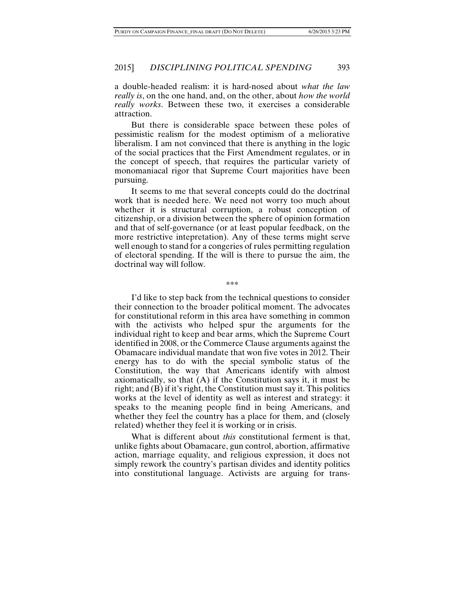a double-headed realism: it is hard-nosed about *what the law really is*, on the one hand, and, on the other, about *how the world really works*. Between these two, it exercises a considerable attraction.

But there is considerable space between these poles of pessimistic realism for the modest optimism of a meliorative liberalism. I am not convinced that there is anything in the logic of the social practices that the First Amendment regulates, or in the concept of speech, that requires the particular variety of monomaniacal rigor that Supreme Court majorities have been pursuing.

It seems to me that several concepts could do the doctrinal work that is needed here. We need not worry too much about whether it is structural corruption, a robust conception of citizenship, or a division between the sphere of opinion formation and that of self-governance (or at least popular feedback, on the more restrictive intepretation). Any of these terms might serve well enough to stand for a congeries of rules permitting regulation of electoral spending. If the will is there to pursue the aim, the doctrinal way will follow.

\*\*\*

I'd like to step back from the technical questions to consider their connection to the broader political moment. The advocates for constitutional reform in this area have something in common with the activists who helped spur the arguments for the individual right to keep and bear arms, which the Supreme Court identified in 2008, or the Commerce Clause arguments against the Obamacare individual mandate that won five votes in 2012. Their energy has to do with the special symbolic status of the Constitution, the way that Americans identify with almost axiomatically, so that  $(A)$  if the Constitution says it, it must be right; and (B) if it's right, the Constitution must say it. This politics works at the level of identity as well as interest and strategy: it speaks to the meaning people find in being Americans, and whether they feel the country has a place for them, and (closely related) whether they feel it is working or in crisis.

What is different about *this* constitutional ferment is that, unlike fights about Obamacare, gun control, abortion, affirmative action, marriage equality, and religious expression, it does not simply rework the country's partisan divides and identity politics into constitutional language. Activists are arguing for trans-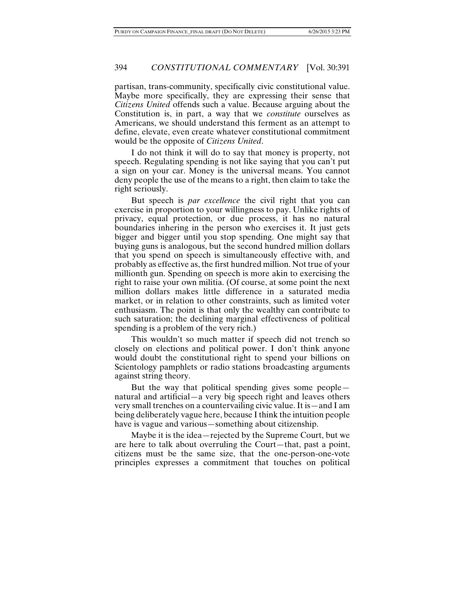partisan, trans-community, specifically civic constitutional value. Maybe more specifically, they are expressing their sense that *Citizens United* offends such a value. Because arguing about the Constitution is, in part, a way that we *constitute* ourselves as Americans, we should understand this ferment as an attempt to define, elevate, even create whatever constitutional commitment would be the opposite of *Citizens United*.

I do not think it will do to say that money is property, not speech. Regulating spending is not like saying that you can't put a sign on your car. Money is the universal means. You cannot deny people the use of the means to a right, then claim to take the right seriously.

But speech is *par excellence* the civil right that you can exercise in proportion to your willingness to pay. Unlike rights of privacy, equal protection, or due process, it has no natural boundaries inhering in the person who exercises it. It just gets bigger and bigger until you stop spending. One might say that buying guns is analogous, but the second hundred million dollars that you spend on speech is simultaneously effective with, and probably as effective as, the first hundred million. Not true of your millionth gun. Spending on speech is more akin to exercising the right to raise your own militia. (Of course, at some point the next million dollars makes little difference in a saturated media market, or in relation to other constraints, such as limited voter enthusiasm. The point is that only the wealthy can contribute to such saturation; the declining marginal effectiveness of political spending is a problem of the very rich.)

This wouldn't so much matter if speech did not trench so closely on elections and political power. I don't think anyone would doubt the constitutional right to spend your billions on Scientology pamphlets or radio stations broadcasting arguments against string theory.

But the way that political spending gives some people natural and artificial—a very big speech right and leaves others very small trenches on a countervailing civic value.It is—and I am being deliberately vague here, because I think the intuition people have is vague and various—something about citizenship.

Maybe it is the idea—rejected by the Supreme Court, but we are here to talk about overruling the Court—that, past a point, citizens must be the same size, that the one-person-one-vote principles expresses a commitment that touches on political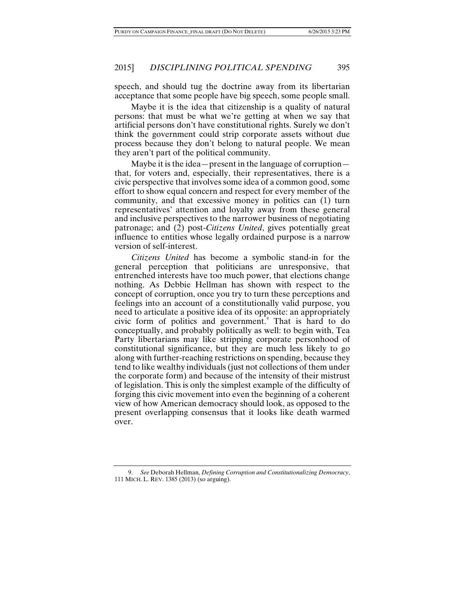speech, and should tug the doctrine away from its libertarian acceptance that some people have big speech, some people small.

Maybe it is the idea that citizenship is a quality of natural persons: that must be what we're getting at when we say that artificial persons don't have constitutional rights. Surely we don't think the government could strip corporate assets without due process because they don't belong to natural people. We mean they aren't part of the political community.

Maybe it is the idea—present in the language of corruption that, for voters and, especially, their representatives, there is a civic perspective that involves some idea of a common good, some effort to show equal concern and respect for every member of the community, and that excessive money in politics can (1) turn representatives' attention and loyalty away from these general and inclusive perspectives to the narrower business of negotiating patronage; and (2) post-*Citizens United*, gives potentially great influence to entities whose legally ordained purpose is a narrow version of self-interest.

*Citizens United* has become a symbolic stand-in for the general perception that politicians are unresponsive, that entrenched interests have too much power, that elections change nothing. As Debbie Hellman has shown with respect to the concept of corruption, once you try to turn these perceptions and feelings into an account of a constitutionally valid purpose, you need to articulate a positive idea of its opposite: an appropriately civic form of politics and government.[9](#page-5-0) That is hard to do conceptually, and probably politically as well: to begin with, Tea Party libertarians may like stripping corporate personhood of constitutional significance, but they are much less likely to go along with further-reaching restrictions on spending, because they tend to like wealthy individuals (just not collections of them under the corporate form) and because of the intensity of their mistrust of legislation. This is only the simplest example of the difficulty of forging this civic movement into even the beginning of a coherent view of how American democracy should look, as opposed to the present overlapping consensus that it looks like death warmed over.

<span id="page-5-0"></span><sup>9.</sup> *See* Deborah Hellman, *Defining Corruption and Constitutionalizing Democracy*, 111 MICH. L. REV. 1385 (2013) (so arguing).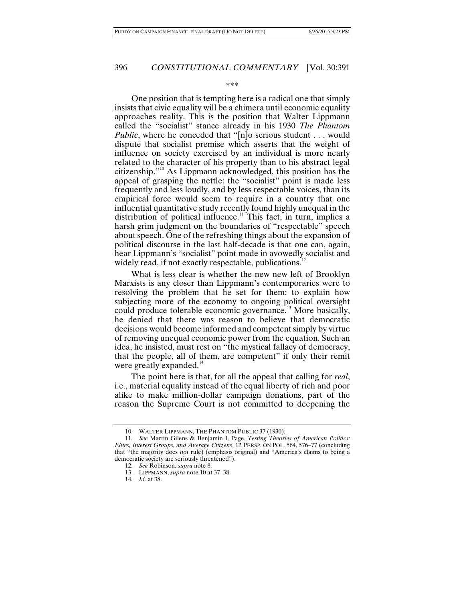#### \*\*\*

<span id="page-6-0"></span>One position that is tempting here is a radical one that simply insists that civic equality will be a chimera until economic equality approaches reality. This is the position that Walter Lippmann called the "socialist" stance already in his 1930 *The Phantom Public*, where he conceded that "[n]o serious student . . . would dispute that socialist premise which asserts that the weight of influence on society exercised by an individual is more nearly related to the character of his property than to his abstract legal citizenship."[10](#page-6-1) As Lippmann acknowledged, this position has the appeal of grasping the nettle: the "socialist" point is made less frequently and less loudly, and by less respectable voices, than its empirical force would seem to require in a country that one influential quantitative study recently found highly unequal in the distribution of political influence.<sup>[11](#page-6-2)</sup> This fact, in turn, implies a harsh grim judgment on the boundaries of "respectable" speech about speech. One of the refreshing things about the expansion of political discourse in the last half-decade is that one can, again, hear Lippmann's "socialist" point made in avowedly socialist and widely read, if not exactly respectable, publications.<sup>1</sup>

What is less clear is whether the new new left of Brooklyn Marxists is any closer than Lippmann's contemporaries were to resolving the problem that he set for them: to explain how subjecting more of the economy to ongoing political oversight could produce tolerable economic governance.[13](#page-6-4) More basically, he denied that there was reason to believe that democratic decisions would become informed and competent simply by virtue of removing unequal economic power from the equation. Such an idea, he insisted, must rest on "the mystical fallacy of democracy, that the people, all of them, are competent" if only their remit were greatly expanded.<sup>[14](#page-6-5)</sup>

The point here is that, for all the appeal that calling for *real*, i.e., material equality instead of the equal liberty of rich and poor alike to make million-dollar campaign donations, part of the reason the Supreme Court is not committed to deepening the

<sup>10.</sup> WALTER LIPPMANN, THE PHANTOM PUBLIC 37 (1930).

<span id="page-6-5"></span><span id="page-6-4"></span><span id="page-6-3"></span><span id="page-6-2"></span><span id="page-6-1"></span><sup>11</sup>*. See* Martin Gilens & Benjamin I. Page, *Testing Theories of American Politics: Elites, Interest Groups, and Average Citizens*, 12 PERSP. ON POL. 564, 576–77 (concluding that "the majority does *not* rule) (emphasis original) and "America's claims to being a democratic society are seriously threatened").

<sup>12</sup>*. See* Robinson, *supra* not[e 8.](#page-2-5)

<sup>13.</sup> LIPPMANN, *supra* not[e 10](#page-6-0) at 37–38.

<sup>14</sup>*. Id.* at 38.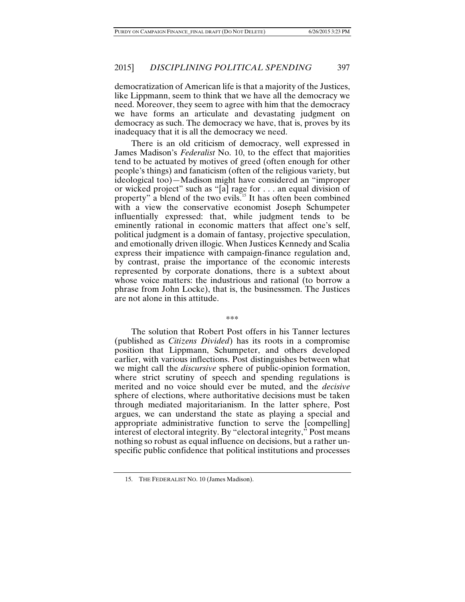democratization of American life is that a majority of the Justices, like Lippmann, seem to think that we have all the democracy we need. Moreover, they seem to agree with him that the democracy we have forms an articulate and devastating judgment on democracy as such. The democracy we have, that is, proves by its inadequacy that it is all the democracy we need.

There is an old criticism of democracy, well expressed in James Madison's *Federalist* No. 10, to the effect that majorities tend to be actuated by motives of greed (often enough for other people's things) and fanaticism (often of the religious variety, but ideological too)—Madison might have considered an "improper or wicked project" such as "[a] rage for . . . an equal division of property" a blend of the two evils.<sup>[15](#page-7-0)</sup> It has often been combined with a view the conservative economist Joseph Schumpeter influentially expressed: that, while judgment tends to be eminently rational in economic matters that affect one's self, political judgment is a domain of fantasy, projective speculation, and emotionally driven illogic. When Justices Kennedy and Scalia express their impatience with campaign-finance regulation and, by contrast, praise the importance of the economic interests represented by corporate donations, there is a subtext about whose voice matters: the industrious and rational (to borrow a phrase from John Locke), that is, the businessmen. The Justices are not alone in this attitude.

\*\*\*

The solution that Robert Post offers in his Tanner lectures (published as *Citizens Divided*) has its roots in a compromise position that Lippmann, Schumpeter, and others developed earlier, with various inflections. Post distinguishes between what we might call the *discursive* sphere of public-opinion formation, where strict scrutiny of speech and spending regulations is merited and no voice should ever be muted, and the *decisive* sphere of elections, where authoritative decisions must be taken through mediated majoritarianism. In the latter sphere, Post argues, we can understand the state as playing a special and appropriate administrative function to serve the [compelling] interest of electoral integrity. By "electoral integrity," Post means nothing so robust as equal influence on decisions, but a rather unspecific public confidence that political institutions and processes

<span id="page-7-0"></span><sup>15.</sup> THE FEDERALIST NO. 10 (James Madison).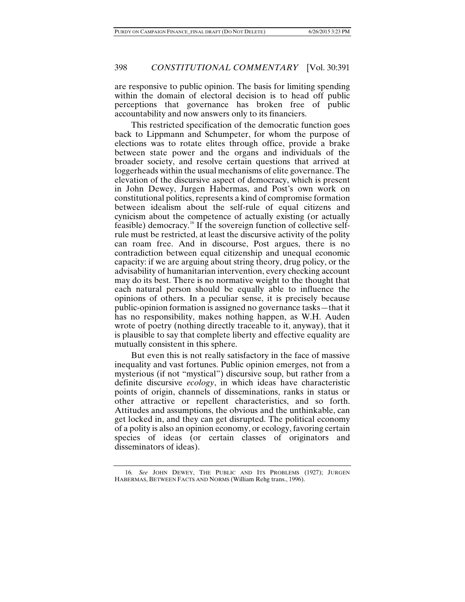are responsive to public opinion. The basis for limiting spending within the domain of electoral decision is to head off public perceptions that governance has broken free of public accountability and now answers only to its financiers.

This restricted specification of the democratic function goes back to Lippmann and Schumpeter, for whom the purpose of elections was to rotate elites through office, provide a brake between state power and the organs and individuals of the broader society, and resolve certain questions that arrived at loggerheads within the usual mechanisms of elite governance. The elevation of the discursive aspect of democracy, which is present in John Dewey, Jurgen Habermas, and Post's own work on constitutional politics, represents a kind of compromise formation between idealism about the self-rule of equal citizens and cynicism about the competence of actually existing (or actually feasible) democracy.<sup>[16](#page-8-0)</sup> If the sovereign function of collective selfrule must be restricted, at least the discursive activity of the polity can roam free. And in discourse, Post argues, there is no contradiction between equal citizenship and unequal economic capacity: if we are arguing about string theory, drug policy, or the advisability of humanitarian intervention, every checking account may do its best. There is no normative weight to the thought that each natural person should be equally able to influence the opinions of others. In a peculiar sense, it is precisely because public-opinion formation is assigned no governance tasks—that it has no responsibility, makes nothing happen, as W.H. Auden wrote of poetry (nothing directly traceable to it, anyway), that it is plausible to say that complete liberty and effective equality are mutually consistent in this sphere.

But even this is not really satisfactory in the face of massive inequality and vast fortunes. Public opinion emerges, not from a mysterious (if not "mystical") discursive soup, but rather from a definite discursive *ecology*, in which ideas have characteristic points of origin, channels of disseminations, ranks in status or other attractive or repellent characteristics, and so forth. Attitudes and assumptions, the obvious and the unthinkable, can get locked in, and they can get disrupted. The political economy of a polity is also an opinion economy, or ecology, favoring certain species of ideas (or certain classes of originators and disseminators of ideas).

<span id="page-8-0"></span><sup>16</sup>*. See* JOHN DEWEY, THE PUBLIC AND ITS PROBLEMS (1927); JURGEN HABERMAS, BETWEEN FACTS AND NORMS (William Rehg trans., 1996).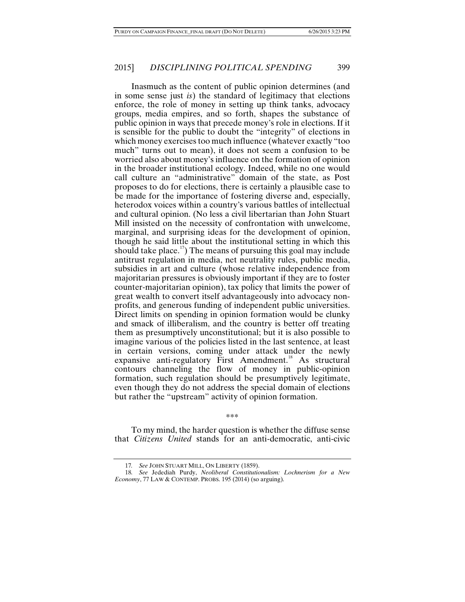Inasmuch as the content of public opinion determines (and in some sense just *is*) the standard of legitimacy that elections enforce, the role of money in setting up think tanks, advocacy groups, media empires, and so forth, shapes the substance of public opinion in ways that precede money's role in elections. If it is sensible for the public to doubt the "integrity" of elections in which money exercises too much influence (whatever exactly "too much" turns out to mean), it does not seem a confusion to be worried also about money's influence on the formation of opinion in the broader institutional ecology. Indeed, while no one would call culture an "administrative" domain of the state, as Post proposes to do for elections, there is certainly a plausible case to be made for the importance of fostering diverse and, especially, heterodox voices within a country's various battles of intellectual and cultural opinion. (No less a civil libertarian than John Stuart Mill insisted on the necessity of confrontation with unwelcome, marginal, and surprising ideas for the development of opinion, though he said little about the institutional setting in which this should take place.<sup>17</sup>) The means of pursuing this goal may include antitrust regulation in media, net neutrality rules, public media, subsidies in art and culture (whose relative independence from majoritarian pressures is obviously important if they are to foster counter-majoritarian opinion), tax policy that limits the power of great wealth to convert itself advantageously into advocacy nonprofits, and generous funding of independent public universities. Direct limits on spending in opinion formation would be clunky and smack of illiberalism, and the country is better off treating them as presumptively unconstitutional; but it is also possible to imagine various of the policies listed in the last sentence, at least in certain versions, coming under attack under the newly expansive anti-regulatory First Amendment.<sup>[18](#page-9-1)</sup> As structural contours channeling the flow of money in public-opinion formation, such regulation should be presumptively legitimate, even though they do not address the special domain of elections but rather the "upstream" activity of opinion formation.

\*\*\*

To my mind, the harder question is whether the diffuse sense that *Citizens United* stands for an anti-democratic, anti-civic

<sup>17</sup>*. See* JOHN STUART MILL, ON LIBERTY (1859).

<span id="page-9-1"></span><span id="page-9-0"></span><sup>18</sup>*. See* Jedediah Purdy, *Neoliberal Constitutionalism: Lochnerism for a New Economy*, 77 LAW & CONTEMP. PROBS. 195 (2014) (so arguing).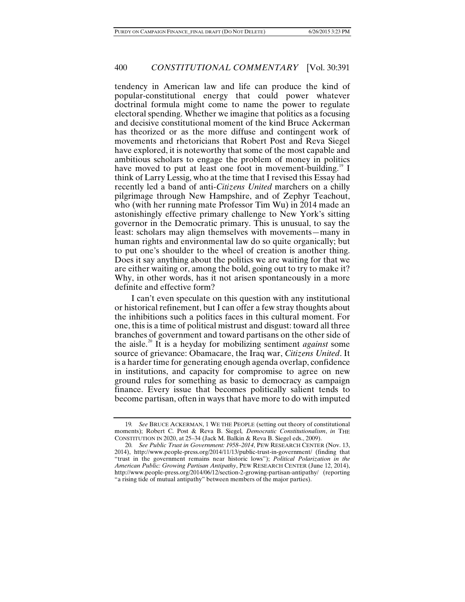tendency in American law and life can produce the kind of popular-constitutional energy that could power whatever doctrinal formula might come to name the power to regulate electoral spending. Whether we imagine that politics as a focusing and decisive constitutional moment of the kind Bruce Ackerman has theorized or as the more diffuse and contingent work of movements and rhetoricians that Robert Post and Reva Siegel have explored, it is noteworthy that some of the most capable and ambitious scholars to engage the problem of money in politics have moved to put at least one foot in movement-building.<sup>[19](#page-10-0)</sup> I think of Larry Lessig, who at the time that I revised this Essay had recently led a band of anti-*Citizens United* marchers on a chilly pilgrimage through New Hampshire, and of Zephyr Teachout, who (with her running mate Professor Tim Wu) in 2014 made an astonishingly effective primary challenge to New York's sitting governor in the Democratic primary. This is unusual, to say the least: scholars may align themselves with movements—many in human rights and environmental law do so quite organically; but to put one's shoulder to the wheel of creation is another thing. Does it say anything about the politics we are waiting for that we are either waiting or, among the bold, going out to try to make it? Why, in other words, has it not arisen spontaneously in a more definite and effective form?

I can't even speculate on this question with any institutional or historical refinement, but I can offer a few stray thoughts about the inhibitions such a politics faces in this cultural moment. For one, this is a time of political mistrust and disgust: toward all three branches of government and toward partisans on the other side of the aisle.[20](#page-10-1) It is a heyday for mobilizing sentiment *against* some source of grievance: Obamacare, the Iraq war, *Citizens United*. It is a harder time for generating enough agenda overlap, confidence in institutions, and capacity for compromise to agree on new ground rules for something as basic to democracy as campaign finance. Every issue that becomes politically salient tends to become partisan, often in ways that have more to do with imputed

<span id="page-10-0"></span><sup>19</sup>*. See* BRUCE ACKERMAN, 1 WE THE PEOPLE (setting out theory of constitutional moments); Robert C. Post & Reva B. Siegel*, Democratic Constitutionalism*, *in* THE CONSTITUTION IN 2020, at 25–34 (Jack M. Balkin & Reva B. Siegel eds., 2009).

<span id="page-10-1"></span><sup>20</sup>*. See Public Trust in Government: 1958–2014*, PEW RESEARCH CENTER (Nov. 13, 2014), http://www.people-press.org/2014/11/13/public-trust-in-government/ (finding that "trust in the government remains near historic lows"); *Political Polarization in the American Public: Growing Partisan Antipathy*, PEW RESEARCH CENTER (June 12, 2014), http://www.people-press.org/2014/06/12/section-2-growing-partisan-antipathy/ (reporting "a rising tide of mutual antipathy" between members of the major parties).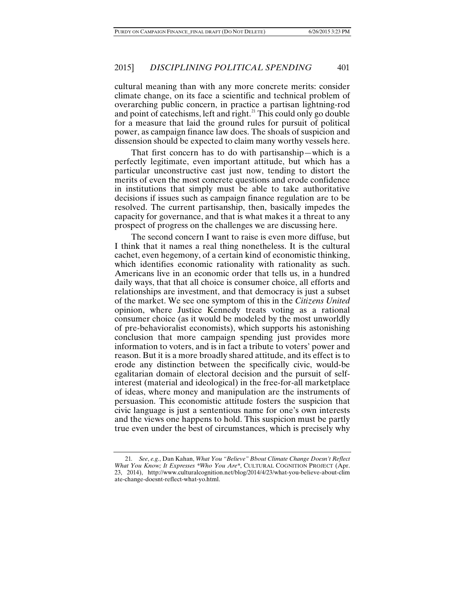cultural meaning than with any more concrete merits: consider climate change, on its face a scientific and technical problem of overarching public concern, in practice a partisan lightning-rod and point of catechisms, left and right. $^{21}$  $^{21}$  $^{21}$  This could only go double for a measure that laid the ground rules for pursuit of political power, as campaign finance law does. The shoals of suspicion and dissension should be expected to claim many worthy vessels here.

That first concern has to do with partisanship—which is a perfectly legitimate, even important attitude, but which has a particular unconstructive cast just now, tending to distort the merits of even the most concrete questions and erode confidence in institutions that simply must be able to take authoritative decisions if issues such as campaign finance regulation are to be resolved. The current partisanship, then, basically impedes the capacity for governance, and that is what makes it a threat to any prospect of progress on the challenges we are discussing here.

The second concern I want to raise is even more diffuse, but I think that it names a real thing nonetheless. It is the cultural cachet, even hegemony, of a certain kind of economistic thinking, which identifies economic rationality with rationality as such. Americans live in an economic order that tells us, in a hundred daily ways, that that all choice is consumer choice, all efforts and relationships are investment, and that democracy is just a subset of the market. We see one symptom of this in the *Citizens United* opinion, where Justice Kennedy treats voting as a rational consumer choice (as it would be modeled by the most unworldly of pre-behavioralist economists), which supports his astonishing conclusion that more campaign spending just provides more information to voters, and is in fact a tribute to voters' power and reason. But it is a more broadly shared attitude, and its effect is to erode any distinction between the specifically civic, would-be egalitarian domain of electoral decision and the pursuit of selfinterest (material and ideological) in the free-for-all marketplace of ideas, where money and manipulation are the instruments of persuasion. This economistic attitude fosters the suspicion that civic language is just a sententious name for one's own interests and the views one happens to hold. This suspicion must be partly true even under the best of circumstances, which is precisely why

<span id="page-11-0"></span><sup>21</sup>*. See*, *e.g.*, Dan Kahan, *What You "Believe" Bbout Climate Change Doesn't Reflect What You Know; It Expresses \*Who You Are\**, CULTURAL COGNITION PROJECT (Apr. 23, 2014), http://www.culturalcognition.net/blog/2014/4/23/what-you-believe-about-clim ate-change-doesnt-reflect-what-yo.html.